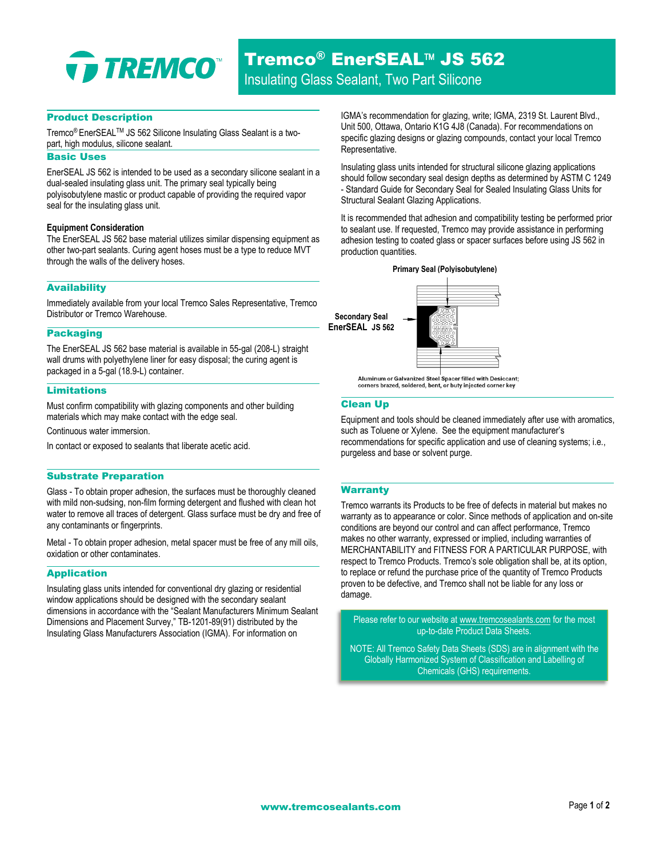

## Product Description

Tremco® EnerSEAL™ JS 562 Silicone Insulating Glass Sealant is a twopart, high modulus, silicone sealant.

# Basic Uses

EnerSEAL JS 562 is intended to be used as a secondary silicone sealant in a dual-sealed insulating glass unit. The primary seal typically being polyisobutylene mastic or product capable of providing the required vapor seal for the insulating glass unit.

#### **Equipment Consideration**

The EnerSEAL JS 562 base material utilizes similar dispensing equipment as other two-part sealants. Curing agent hoses must be a type to reduce MVT through the walls of the delivery hoses.

#### Availability

Immediately available from your local Tremco Sales Representative, Tremco Distributor or Tremco Warehouse.

## Packaging

The EnerSEAL JS 562 base material is available in 55-gal (208-L) straight wall drums with polyethylene liner for easy disposal; the curing agent is packaged in a 5-gal (18.9-L) container.

#### Limitations

Must confirm compatibility with glazing components and other building materials which may make contact with the edge seal.

Continuous water immersion.

In contact or exposed to sealants that liberate acetic acid.

#### Substrate Preparation

Glass - To obtain proper adhesion, the surfaces must be thoroughly cleaned with mild non-sudsing, non-film forming detergent and flushed with clean hot water to remove all traces of detergent. Glass surface must be dry and free of any contaminants or fingerprints.

Metal - To obtain proper adhesion, metal spacer must be free of any mill oils, oxidation or other contaminates.

## Application

Insulating glass units intended for conventional dry glazing or residential window applications should be designed with the secondary sealant dimensions in accordance with the "Sealant Manufacturers Minimum Sealant Dimensions and Placement Survey," TB-1201-89(91) distributed by the Insulating Glass Manufacturers Association (IGMA). For information on

IGMA's recommendation for glazing, write; IGMA, 2319 St. Laurent Blvd., Unit 500, Ottawa, Ontario K1G 4J8 (Canada). For recommendations on specific glazing designs or glazing compounds, contact your local Tremco Representative.

Insulating glass units intended for structural silicone glazing applications should follow secondary seal design depths as determined by ASTM C 1249 - Standard Guide for Secondary Seal for Sealed Insulating Glass Units for Structural Sealant Glazing Applications.

It is recommended that adhesion and compatibility testing be performed prior to sealant use. If requested, Tremco may provide assistance in performing adhesion testing to coated glass or spacer surfaces before using JS 562 in production quantities.





Aluminum or Galvanized Steel Spacer filled with Desiccant;<br>corners brazed, soldered, bent, or buty injected corner key

# Clean Up

Equipment and tools should be cleaned immediately after use with aromatics, such as Toluene or Xylene. See the equipment manufacturer's recommendations for specific application and use of cleaning systems; i.e., purgeless and base or solvent purge.

## **Warranty**

Tremco warrants its Products to be free of defects in material but makes no warranty as to appearance or color. Since methods of application and on-site conditions are beyond our control and can affect performance, Tremco makes no other warranty, expressed or implied, including warranties of MERCHANTABILITY and FITNESS FOR A PARTICULAR PURPOSE, with respect to Tremco Products. Tremco's sole obligation shall be, at its option, to replace or refund the purchase price of the quantity of Tremco Products proven to be defective, and Tremco shall not be liable for any loss or damage.

Please refer to our website a[t www.tremcosealants.com](http://www.tremcosealants.com/) for the most up-to-date Product Data Sheets.

NOTE: All Tremco Safety Data Sheets (SDS) are in alignment with the Globally Harmonized System of Classification and Labelling of Chemicals (GHS) requirements.